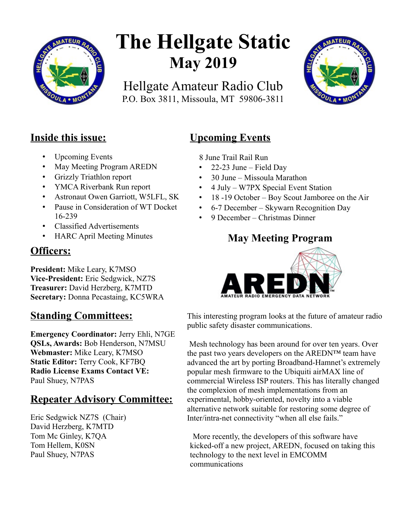

# **The Hellgate Static May 2019**

Hellgate Amateur Radio Club P.O. Box 3811, Missoula, MT 59806-3811



## **Inside this issue:**

- Upcoming Events
- May Meeting Program AREDN
- Grizzly Triathlon report
- YMCA Riverbank Run report
- Astronaut Owen Garriott, W5LFL, SK
- Pause in Consideration of WT Docket 16-239
- Classified Advertisements
- HARC April Meeting Minutes

## **Officers:**

**President:** Mike Leary, K7MSO **Vice-President:** Eric Sedgwick, NZ7S **Treasurer:** David Herzberg, K7MTD **Secretary:** Donna Pecastaing, KC5WRA

## **Standing Committees:**

**Emergency Coordinator:** Jerry Ehli, N7GE **QSLs, Awards:** Bob Henderson, N7MSU **Webmaster:** Mike Leary, K7MSO **Static Editor:** Terry Cook, KF7BQ **Radio License Exams Contact VE:** Paul Shuey, N7PAS

## **Repeater Advisory Committee:**

Eric Sedgwick NZ7S (Chair) David Herzberg, K7MTD Tom Mc Ginley, K7QA Tom Hellem, K0SN Paul Shuey, N7PAS

# **Upcoming Events**

8 June Trail Rail Run

- $22-23$  June Field Day
- 30 June Missoula Marathon
- 4 July W7PX Special Event Station
- 18 -19 October Boy Scout Jamboree on the Air
- 6-7 December Skywarn Recognition Day
- 9 December Christmas Dinner

## **May Meeting Program**



This interesting program looks at the future of amateur radio public safety disaster communications.

Mesh technology has been around for over ten years. Over the past two years developers on the AREDN™ team have advanced the art by porting Broadband-Hamnet's extremely popular mesh firmware to the Ubiquiti airMAX line of commercial Wireless ISP routers. This has literally changed the complexion of mesh implementations from an experimental, hobby-oriented, novelty into a viable alternative network suitable for restoring some degree of Inter/intra-net connectivity "when all else fails."

More recently, the developers of this software have kicked-off a new project, AREDN, focused on taking this technology to the next level in EMCOMM communications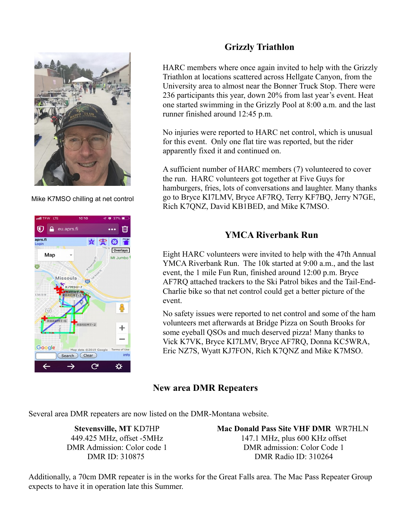

Mike K7MSO chilling at net control



## **Grizzly Triathlon**

HARC members where once again invited to help with the Grizzly Triathlon at locations scattered across Hellgate Canyon, from the University area to almost near the Bonner Truck Stop. There were 236 participants this year, down 20% from last year's event. Heat one started swimming in the Grizzly Pool at 8:00 a.m. and the last runner finished around 12:45 p.m.

No injuries were reported to HARC net control, which is unusual for this event. Only one flat tire was reported, but the rider apparently fixed it and continued on.

A sufficient number of HARC members (7) volunteered to cover the run. HARC volunteers got together at Five Guys for hamburgers, fries, lots of conversations and laughter. Many thanks go to Bryce KI7LMV, Bryce AF7RQ, Terry KF7BQ, Jerry N7GE, Rich K7QNZ, David KB1BED, and Mike K7MSO.

#### **YMCA Riverbank Run**

Eight HARC volunteers were invited to help with the 47th Annual YMCA Riverbank Run. The 10k started at 9:00 a.m., and the last event, the 1 mile Fun Run, finished around 12:00 p.m. Bryce AF7RQ attached trackers to the Ski Patrol bikes and the Tail-End-Charlie bike so that net control could get a better picture of the event.

No safety issues were reported to net control and some of the ham volunteers met afterwards at Bridge Pizza on South Brooks for some eyeball QSOs and much deserved pizza! Many thanks to Vick K7VK, Bryce KI7LMV, Bryce AF7RQ, Donna KC5WRA, Eric NZ7S, Wyatt KJ7FON, Rich K7QNZ and Mike K7MSO.

#### **New area DMR Repeaters**

Several area DMR repeaters are now listed on the DMR-Montana website.

**Stevensville, MT** KD7HP 449.425 MHz, offset -5MHz DMR Admission: Color code 1 DMR ID: 310875

**Mac Donald Pass Site VHF DMR** WR7HLN

147.1 MHz, plus 600 KHz offset DMR admission: Color Code 1 DMR Radio ID: 310264

Additionally, a 70cm DMR repeater is in the works for the Great Falls area. The Mac Pass Repeater Group expects to have it in operation late this Summer.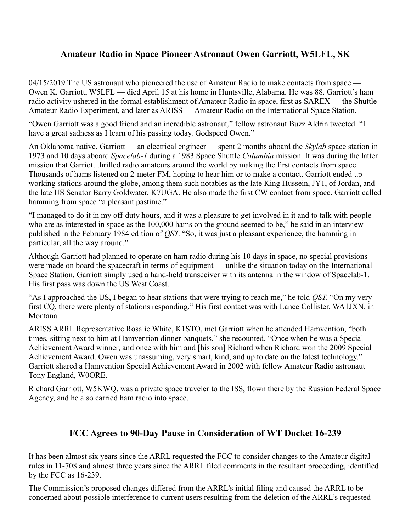#### **Amateur Radio in Space Pioneer Astronaut Owen Garriott, W5LFL, SK**

04/15/2019 The US astronaut who pioneered the use of Amateur Radio to make contacts from space — Owen K. Garriott, W5LFL — died April 15 at his home in Huntsville, Alabama. He was 88. Garriott's ham radio activity ushered in the formal establishment of Amateur Radio in space, first as SAREX — the Shuttle Amateur Radio Experiment, and later as ARISS — Amateur Radio on the International Space Station.

"Owen Garriott was a good friend and an incredible astronaut," fellow astronaut Buzz Aldrin tweeted. "I have a great sadness as I learn of his passing today. Godspeed Owen."

An Oklahoma native, Garriott — an electrical engineer — spent 2 months aboard the *Skylab* space station in 1973 and 10 days aboard *Spacelab-1* during a 1983 Space Shuttle *Columbia* mission. It was during the latter mission that Garriott thrilled radio amateurs around the world by making the first contacts from space. Thousands of hams listened on 2-meter FM, hoping to hear him or to make a contact. Garriott ended up working stations around the globe, among them such notables as the late King Hussein, JY1, of Jordan, and the late US Senator Barry Goldwater, K7UGA. He also made the first CW contact from space. Garriott called hamming from space "a pleasant pastime."

"I managed to do it in my off-duty hours, and it was a pleasure to get involved in it and to talk with people who are as interested in space as the 100,000 hams on the ground seemed to be," he said in an interview published in the February 1984 edition of *QST*. "So, it was just a pleasant experience, the hamming in particular, all the way around."

Although Garriott had planned to operate on ham radio during his 10 days in space, no special provisions were made on board the spacecraft in terms of equipment — unlike the situation today on the International Space Station. Garriott simply used a hand-held transceiver with its antenna in the window of Spacelab-1. His first pass was down the US West Coast.

"As I approached the US, I began to hear stations that were trying to reach me," he told *QST*. "On my very first CQ, there were plenty of stations responding." His first contact was with Lance Collister, WA1JXN, in Montana.

ARISS ARRL Representative Rosalie White, K1STO, met Garriott when he attended Hamvention, "both times, sitting next to him at Hamvention dinner banquets," she recounted. "Once when he was a Special Achievement Award winner, and once with him and [his son] Richard when Richard won the 2009 Special Achievement Award. Owen was unassuming, very smart, kind, and up to date on the latest technology." Garriott shared a Hamvention Special Achievement Award in 2002 with fellow Amateur Radio astronaut Tony England, W0ORE.

Richard Garriott, W5KWQ, was a private space traveler to the ISS, flown there by the Russian Federal Space Agency, and he also carried ham radio into space.

#### **FCC Agrees to 90-Day Pause in Consideration of WT Docket 16-239**

It has been almost six years since the ARRL requested the FCC to consider changes to the Amateur digital rules in 11-708 and almost three years since the ARRL filed comments in the resultant proceeding, identified by the FCC as 16-239.

The Commission's proposed changes differed from the ARRL's initial filing and caused the ARRL to be concerned about possible interference to current users resulting from the deletion of the ARRL's requested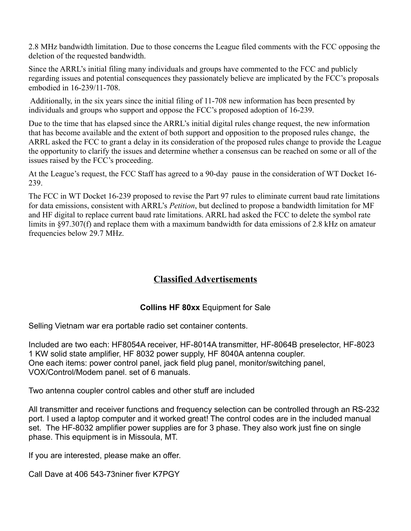2.8 MHz bandwidth limitation. Due to those concerns the League filed comments with the FCC opposing the deletion of the requested bandwidth.

Since the ARRL's initial filing many individuals and groups have commented to the FCC and publicly regarding issues and potential consequences they passionately believe are implicated by the FCC's proposals embodied in 16-239/11-708.

 Additionally, in the six years since the initial filing of 11-708 new information has been presented by individuals and groups who support and oppose the FCC's proposed adoption of 16-239.

Due to the time that has elapsed since the ARRL's initial digital rules change request, the new information that has become available and the extent of both support and opposition to the proposed rules change, the ARRL asked the FCC to grant a delay in its consideration of the proposed rules change to provide the League the opportunity to clarify the issues and determine whether a consensus can be reached on some or all of the issues raised by the FCC's proceeding.

At the League's request, the FCC Staff has agreed to a 90-day pause in the consideration of WT Docket 16- 239.

The FCC in WT Docket 16-239 proposed to revise the Part 97 rules to eliminate current baud rate limitations for data emissions, consistent with ARRL's *Petition*, but declined to propose a bandwidth limitation for MF and HF digital to replace current baud rate limitations. ARRL had asked the FCC to delete the symbol rate limits in §97.307(f) and replace them with a maximum bandwidth for data emissions of 2.8 kHz on amateur frequencies below 29.7 MHz.

### **Classified Advertisements**

#### **Collins HF 80xx** Equipment for Sale

Selling Vietnam war era portable radio set container contents.

Included are two each: HF8054A receiver, HF-8014A transmitter, HF-8064B preselector, HF-8023 1 KW solid state amplifier, HF 8032 power supply, HF 8040A antenna coupler. One each items: power control panel, jack field plug panel, monitor/switching panel, VOX/Control/Modem panel. set of 6 manuals.

Two antenna coupler control cables and other stuff are included

All transmitter and receiver functions and frequency selection can be controlled through an RS-232 port. I used a laptop computer and it worked great! The control codes are in the included manual set. The HF-8032 amplifier power supplies are for 3 phase. They also work just fine on single phase. This equipment is in Missoula, MT.

If you are interested, please make an offer.

Call Dave at 406 543-73niner fiver K7PGY